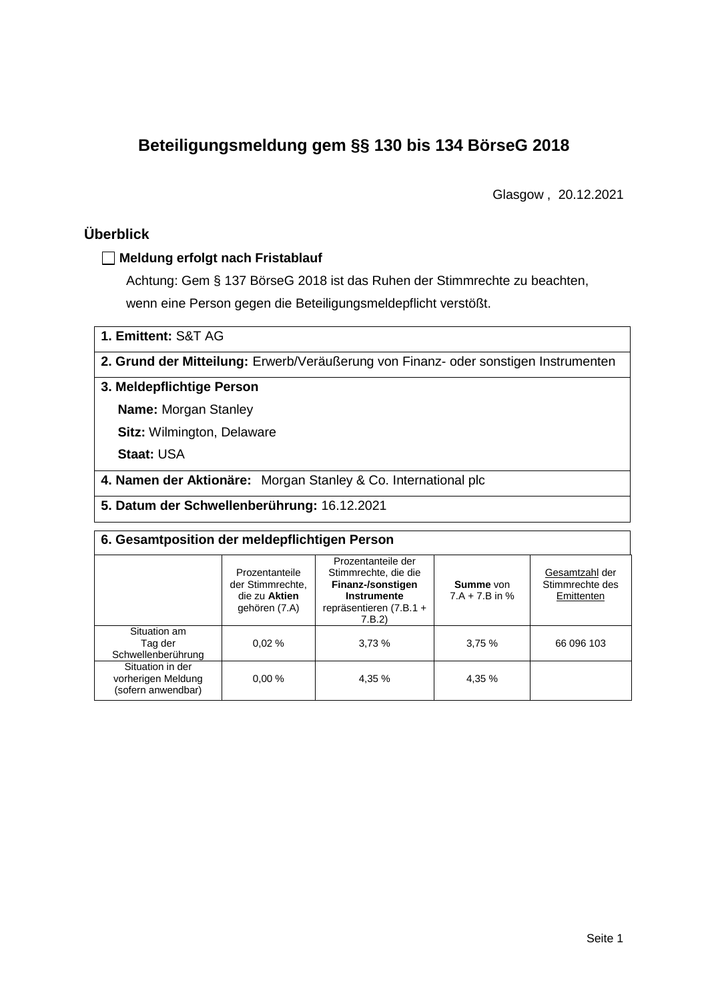# **Beteiligungsmeldung gem §§ 130 bis 134 BörseG 2018**

Glasgow , 20.12.2021

# **Überblick**

## **Meldung erfolgt nach Fristablauf**

Achtung: Gem § 137 BörseG 2018 ist das Ruhen der Stimmrechte zu beachten, wenn eine Person gegen die Beteiligungsmeldepflicht verstößt.

**1. Emittent:** S&T AG

**2. Grund der Mitteilung:** Erwerb/Veräußerung von Finanz- oder sonstigen Instrumenten

### **3. Meldepflichtige Person**

**Name:** Morgan Stanley

**Sitz:** Wilmington, Delaware

**Staat:** USA

**4. Namen der Aktionäre:** Morgan Stanley & Co. International plc

**5. Datum der Schwellenberührung:** 16.12.2021

| 6. Gesamtposition der meldepflichtigen Person                |                                                                      |                                                                                                                      |                                      |                                                 |  |  |
|--------------------------------------------------------------|----------------------------------------------------------------------|----------------------------------------------------------------------------------------------------------------------|--------------------------------------|-------------------------------------------------|--|--|
|                                                              | Prozentanteile<br>der Stimmrechte.<br>die zu Aktien<br>gehören (7.A) | Prozentanteile der<br>Stimmrechte, die die<br>Finanz-/sonstigen<br>Instrumente<br>repräsentieren $(7.B.1 +$<br>7.B.2 | <b>Summe</b> von<br>$7.A + 7.B$ in % | Gesamtzahl der<br>Stimmrechte des<br>Emittenten |  |  |
| Situation am<br>Tag der<br>Schwellenberührung                | 0.02%                                                                | 3.73%                                                                                                                | 3,75%                                | 66 096 103                                      |  |  |
| Situation in der<br>vorherigen Meldung<br>(sofern anwendbar) | 0.00%                                                                | 4,35 %                                                                                                               | 4,35 %                               |                                                 |  |  |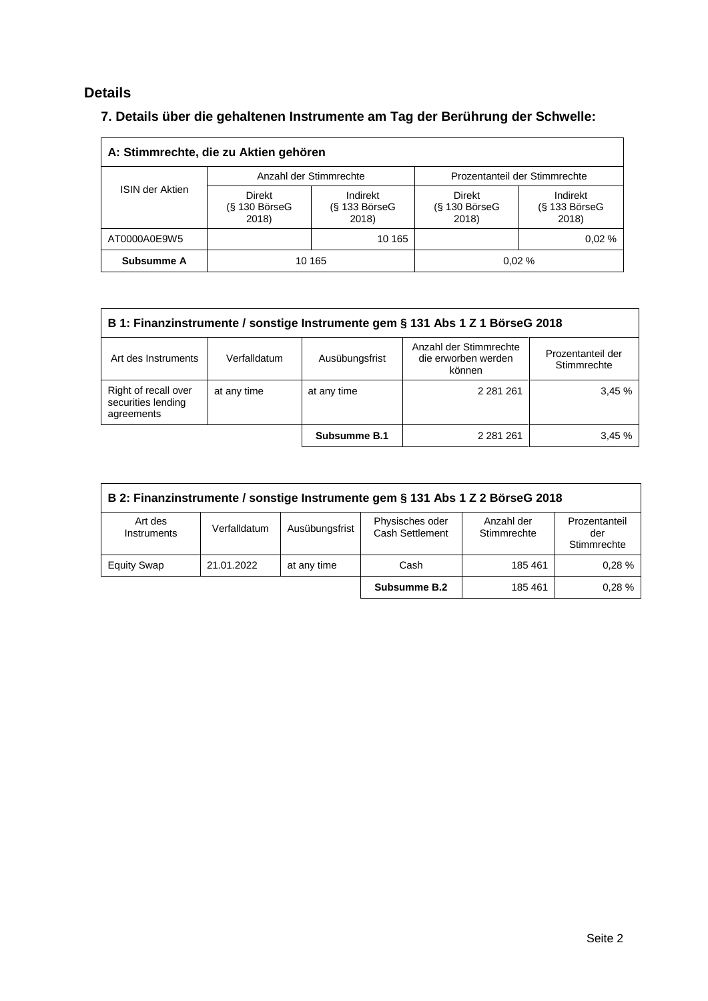# **Details**

# **7. Details über die gehaltenen Instrumente am Tag der Berührung der Schwelle:**

| A: Stimmrechte, die zu Aktien gehören |                                  |                                      |                                           |                                    |  |  |
|---------------------------------------|----------------------------------|--------------------------------------|-------------------------------------------|------------------------------------|--|--|
|                                       |                                  | Anzahl der Stimmrechte               | Prozentanteil der Stimmrechte             |                                    |  |  |
| <b>ISIN der Aktien</b>                | Direkt<br>(§ 130 BörseG<br>2018) | Indirekt<br>$(S$ 133 BörseG<br>2018) | <b>Direkt</b><br>$(S$ 130 BörseG<br>2018) | Indirekt<br>(§ 133 BörseG<br>2018) |  |  |
| AT0000A0E9W5                          |                                  | 10 165                               |                                           | 0.02%                              |  |  |
| Subsumme A                            |                                  | 10 165                               |                                           | 0.02%                              |  |  |

| B 1: Finanzinstrumente / sonstige Instrumente gem § 131 Abs 1 Z 1 BörseG 2018                                                                        |                            |              |               |       |  |
|------------------------------------------------------------------------------------------------------------------------------------------------------|----------------------------|--------------|---------------|-------|--|
| Anzahl der Stimmrechte<br>Prozentanteil der<br>Art des Instruments<br>Ausübungsfrist<br>die erworben werden<br>Verfalldatum<br>Stimmrechte<br>können |                            |              |               |       |  |
| Right of recall over<br>securities lending<br>agreements                                                                                             | at any time<br>at any time |              | 2 2 8 1 2 6 1 | 3.45% |  |
|                                                                                                                                                      |                            | Subsumme B.1 | 2 2 8 1 2 6 1 | 3.45% |  |

| B 2: Finanzinstrumente / sonstige Instrumente gem § 131 Abs 1 Z 2 BörseG 2018 |              |                |                                    |                           |                                     |
|-------------------------------------------------------------------------------|--------------|----------------|------------------------------------|---------------------------|-------------------------------------|
| Art des<br>Instruments                                                        | Verfalldatum | Ausübungsfrist | Physisches oder<br>Cash Settlement | Anzahl der<br>Stimmrechte | Prozentanteil<br>der<br>Stimmrechte |
| <b>Equity Swap</b>                                                            | 21.01.2022   | at any time    | Cash                               | 185 461                   | 0.28%                               |
|                                                                               |              |                | Subsumme B.2                       | 185 461                   | 0.28%                               |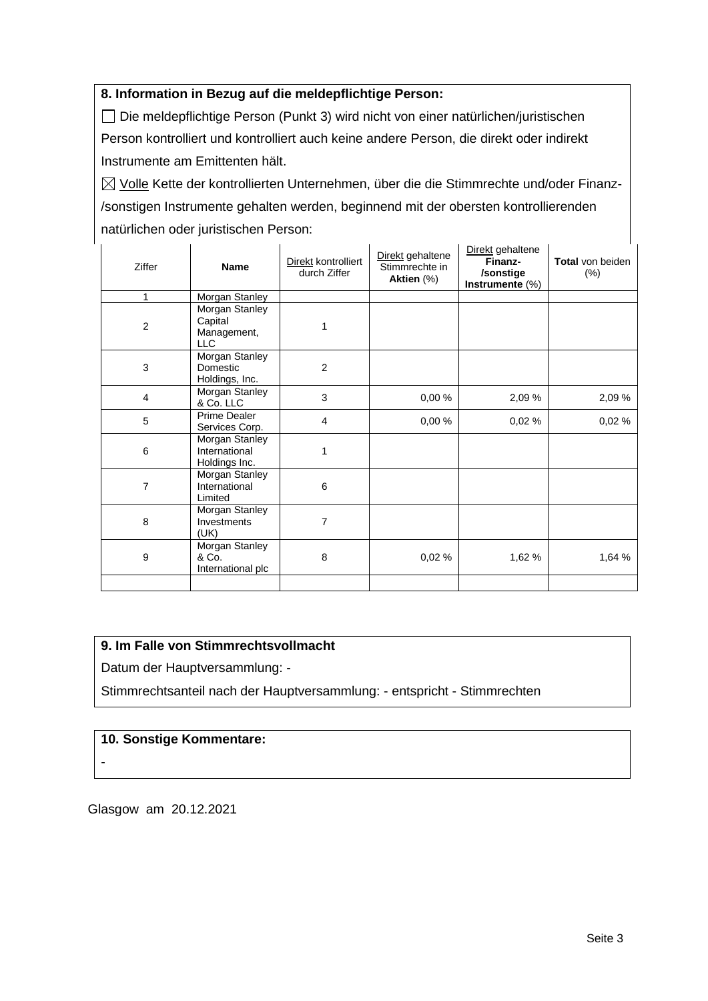### **8. Information in Bezug auf die meldepflichtige Person:**

Die meldepflichtige Person (Punkt 3) wird nicht von einer natürlichen/juristischen Person kontrolliert und kontrolliert auch keine andere Person, die direkt oder indirekt Instrumente am Emittenten hält.

 $\boxtimes$  Volle Kette der kontrollierten Unternehmen, über die die Stimmrechte und/oder Finanz-/sonstigen Instrumente gehalten werden, beginnend mit der obersten kontrollierenden natürlichen oder juristischen Person:

| Ziffer           | <b>Name</b>                                            | Direkt kontrolliert<br>durch Ziffer | Direkt gehaltene<br>Stimmrechte in<br>Aktien (%) | Direkt gehaltene<br>Finanz-<br>/sonstige<br>Instrumente $(\%)$ | Total von beiden<br>$(\%)$ |
|------------------|--------------------------------------------------------|-------------------------------------|--------------------------------------------------|----------------------------------------------------------------|----------------------------|
| 1                | Morgan Stanley                                         |                                     |                                                  |                                                                |                            |
| $\boldsymbol{2}$ | Morgan Stanley<br>Capital<br>Management,<br><b>LLC</b> | 1                                   |                                                  |                                                                |                            |
| 3                | Morgan Stanley<br>Domestic<br>Holdings, Inc.           | $\overline{2}$                      |                                                  |                                                                |                            |
| $\overline{4}$   | Morgan Stanley<br>& Co. LLC                            | 3                                   | 0,00%                                            | 2,09 %                                                         | 2,09%                      |
| 5                | <b>Prime Dealer</b><br>Services Corp.                  | $\overline{4}$                      | 0,00 %                                           | 0,02 %                                                         | 0,02%                      |
| 6                | Morgan Stanley<br>International<br>Holdings Inc.       | 1                                   |                                                  |                                                                |                            |
| 7                | Morgan Stanley<br>International<br>Limited             | 6                                   |                                                  |                                                                |                            |
| 8                | Morgan Stanley<br>Investments<br>(UK)                  | 7                                   |                                                  |                                                                |                            |
| 9                | Morgan Stanley<br>& Co.<br>International plc           | 8                                   | 0,02%                                            | 1,62 %                                                         | 1,64 %                     |
|                  |                                                        |                                     |                                                  |                                                                |                            |

## **9. Im Falle von Stimmrechtsvollmacht**

Datum der Hauptversammlung: -

Stimmrechtsanteil nach der Hauptversammlung: - entspricht - Stimmrechten

### **10. Sonstige Kommentare:**

-

Glasgow am 20.12.2021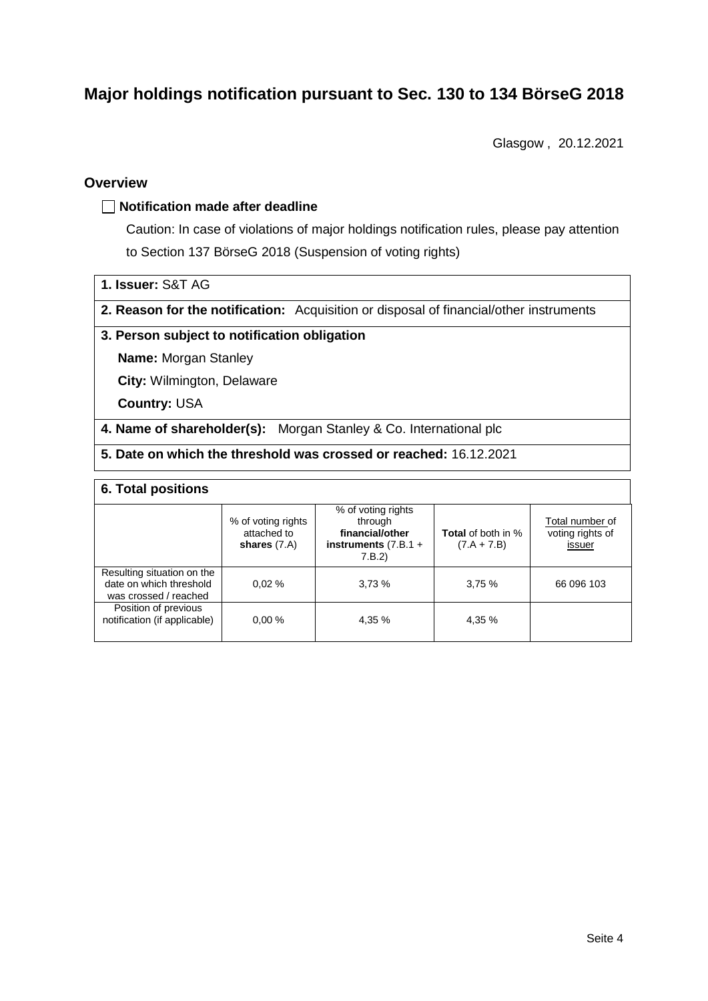# **Major holdings notification pursuant to Sec. 130 to 134 BörseG 2018**

Glasgow , 20.12.2021

### **Overview**

### **Notification made after deadline**

Caution: In case of violations of major holdings notification rules, please pay attention to Section 137 BörseG 2018 (Suspension of voting rights)

- **1. Issuer:** S&T AG
- **2. Reason for the notification:** Acquisition or disposal of financial/other instruments

### **3. Person subject to notification obligation**

**Name:** Morgan Stanley

**City:** Wilmington, Delaware

**Country:** USA

**4. Name of shareholder(s):** Morgan Stanley & Co. International plc

**5. Date on which the threshold was crossed or reached:** 16.12.2021

### **6. Total positions**

|                                                                                | % of voting rights<br>attached to<br>shares $(7.A)$ | % of voting rights<br>through<br>financial/other<br>instruments $(7.B.1 +$<br>7.B.2 | <b>Total</b> of both in %<br>$(7.A + 7.B)$ | Total number of<br>voting rights of<br>issuer |
|--------------------------------------------------------------------------------|-----------------------------------------------------|-------------------------------------------------------------------------------------|--------------------------------------------|-----------------------------------------------|
| Resulting situation on the<br>date on which threshold<br>was crossed / reached | 0.02%                                               | 3,73%                                                                               | 3,75%                                      | 66 096 103                                    |
| Position of previous<br>notification (if applicable)                           | 0.00%                                               | 4,35 %                                                                              | 4,35 %                                     |                                               |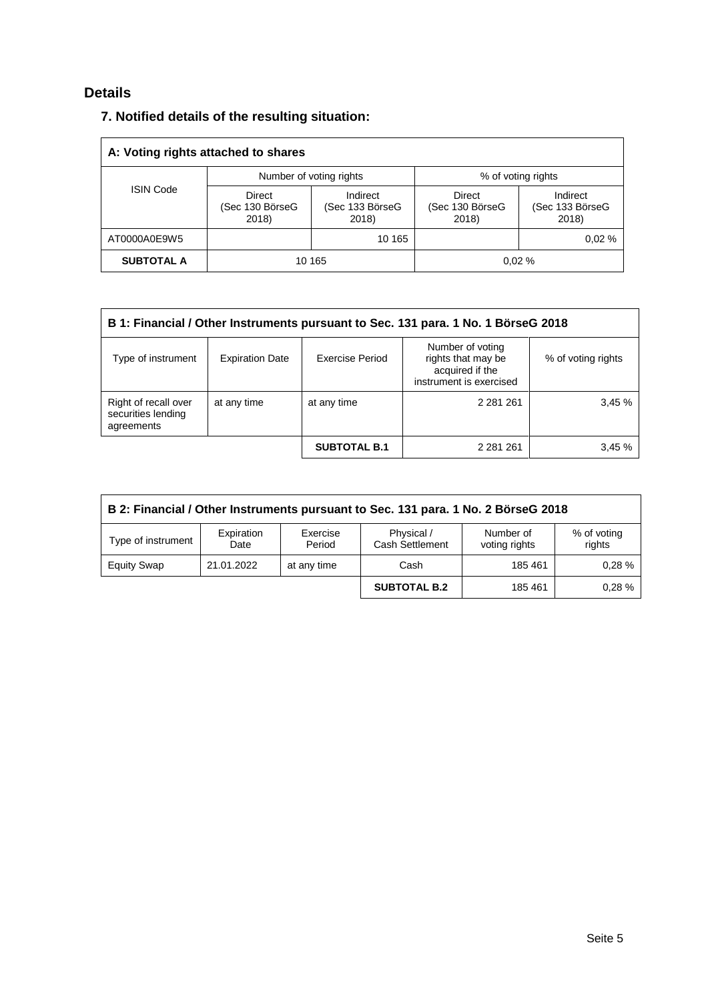# **Details**

| 7. Notified details of the resulting situation: |  |
|-------------------------------------------------|--|
|-------------------------------------------------|--|

| A: Voting rights attached to shares |                                    |                                      |                                    |                                      |  |  |
|-------------------------------------|------------------------------------|--------------------------------------|------------------------------------|--------------------------------------|--|--|
|                                     |                                    | Number of voting rights              | % of voting rights                 |                                      |  |  |
| <b>ISIN Code</b>                    | Direct<br>(Sec 130 BörseG<br>2018) | Indirect<br>(Sec 133 BörseG<br>2018) | Direct<br>(Sec 130 BörseG<br>2018) | Indirect<br>(Sec 133 BörseG<br>2018) |  |  |
| AT0000A0E9W5                        |                                    | 10 165                               |                                    | 0.02%                                |  |  |
| <b>SUBTOTAL A</b>                   |                                    | 10 165                               |                                    | 0.02%                                |  |  |

| B 1: Financial / Other Instruments pursuant to Sec. 131 para. 1 No. 1 BörseG 2018 |                        |                     |                                                                                      |                    |  |
|-----------------------------------------------------------------------------------|------------------------|---------------------|--------------------------------------------------------------------------------------|--------------------|--|
| Type of instrument                                                                | <b>Expiration Date</b> | Exercise Period     | Number of voting<br>rights that may be<br>acquired if the<br>instrument is exercised | % of voting rights |  |
| Right of recall over<br>securities lending<br>agreements                          | at any time            | at any time         | 2 2 8 1 2 6 1                                                                        | 3,45%              |  |
|                                                                                   |                        | <b>SUBTOTAL B.1</b> | 2 2 8 1 2 6 1                                                                        | 3,45%              |  |

| B 2: Financial / Other Instruments pursuant to Sec. 131 para. 1 No. 2 BörseG 2018                                                                      |            |             |                     |         |       |  |
|--------------------------------------------------------------------------------------------------------------------------------------------------------|------------|-------------|---------------------|---------|-------|--|
| Physical /<br>Expiration<br>Exercise<br>Number of<br>% of voting<br>Type of instrument<br>Cash Settlement<br>rights<br>voting rights<br>Period<br>Date |            |             |                     |         |       |  |
| <b>Equity Swap</b>                                                                                                                                     | 21.01.2022 | at any time | Cash                | 185 461 | 0.28% |  |
|                                                                                                                                                        |            |             | <b>SUBTOTAL B.2</b> | 185 461 | 0.28% |  |